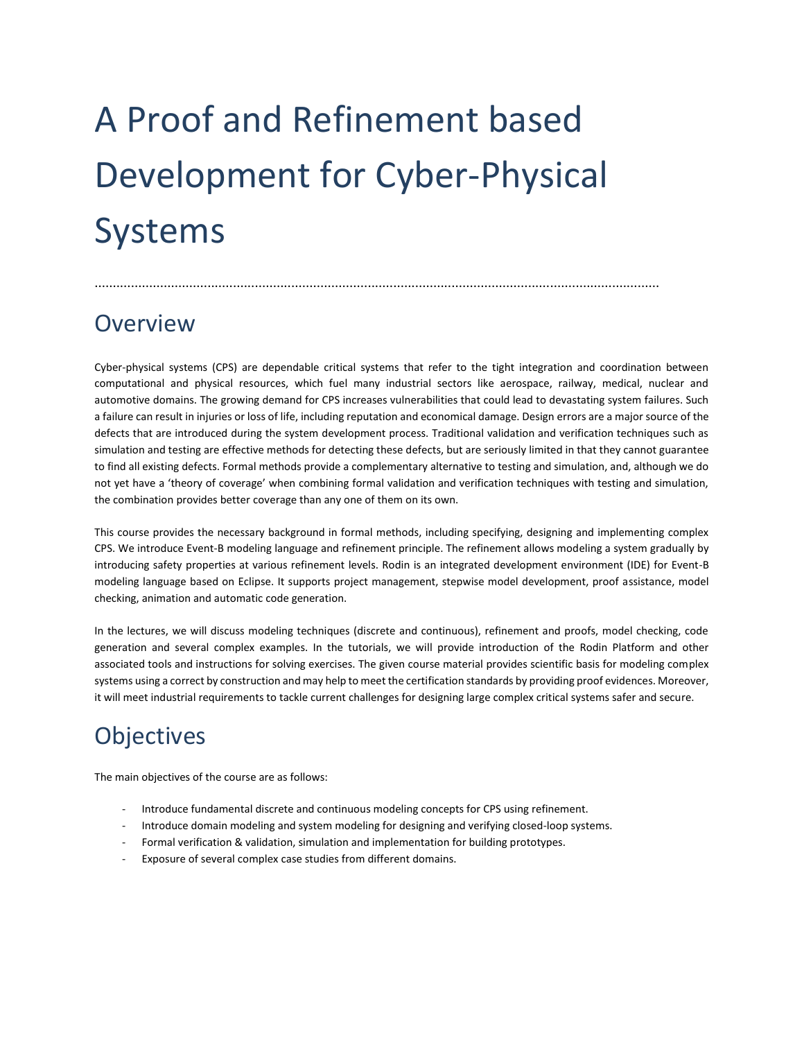# A Proof and Refinement based Development for Cyber-Physical Systems

### **Overview**

Cyber-physical systems (CPS) are dependable critical systems that refer to the tight integration and coordination between computational and physical resources, which fuel many industrial sectors like aerospace, railway, medical, nuclear and automotive domains. The growing demand for CPS increases vulnerabilities that could lead to devastating system failures. Such a failure can result in injuries or loss of life, including reputation and economical damage. Design errors are a major source of the defects that are introduced during the system development process. Traditional validation and verification techniques such as simulation and testing are effective methods for detecting these defects, but are seriously limited in that they cannot guarantee to find all existing defects. Formal methods provide a complementary alternative to testing and simulation, and, although we do not yet have a 'theory of coverage' when combining formal validation and verification techniques with testing and simulation, the combination provides better coverage than any one of them on its own.

...........................................................................................................................................................

This course provides the necessary background in formal methods, including specifying, designing and implementing complex CPS. We introduce Event-B modeling language and refinement principle. The refinement allows modeling a system gradually by introducing safety properties at various refinement levels. Rodin is an integrated development environment (IDE) for Event-B modeling language based on Eclipse. It supports project management, stepwise model development, proof assistance, model checking, animation and automatic code generation.

In the lectures, we will discuss modeling techniques (discrete and continuous), refinement and proofs, model checking, code generation and several complex examples. In the tutorials, we will provide introduction of the Rodin Platform and other associated tools and instructions for solving exercises. The given course material provides scientific basis for modeling complex systems using a correct by construction and may help to meet the certification standards by providing proof evidences. Moreover, it will meet industrial requirements to tackle current challenges for designing large complex critical systems safer and secure.

## **Objectives**

The main objectives of the course are as follows:

- Introduce fundamental discrete and continuous modeling concepts for CPS using refinement.
- Introduce domain modeling and system modeling for designing and verifying closed-loop systems.
- Formal verification & validation, simulation and implementation for building prototypes.
- Exposure of several complex case studies from different domains.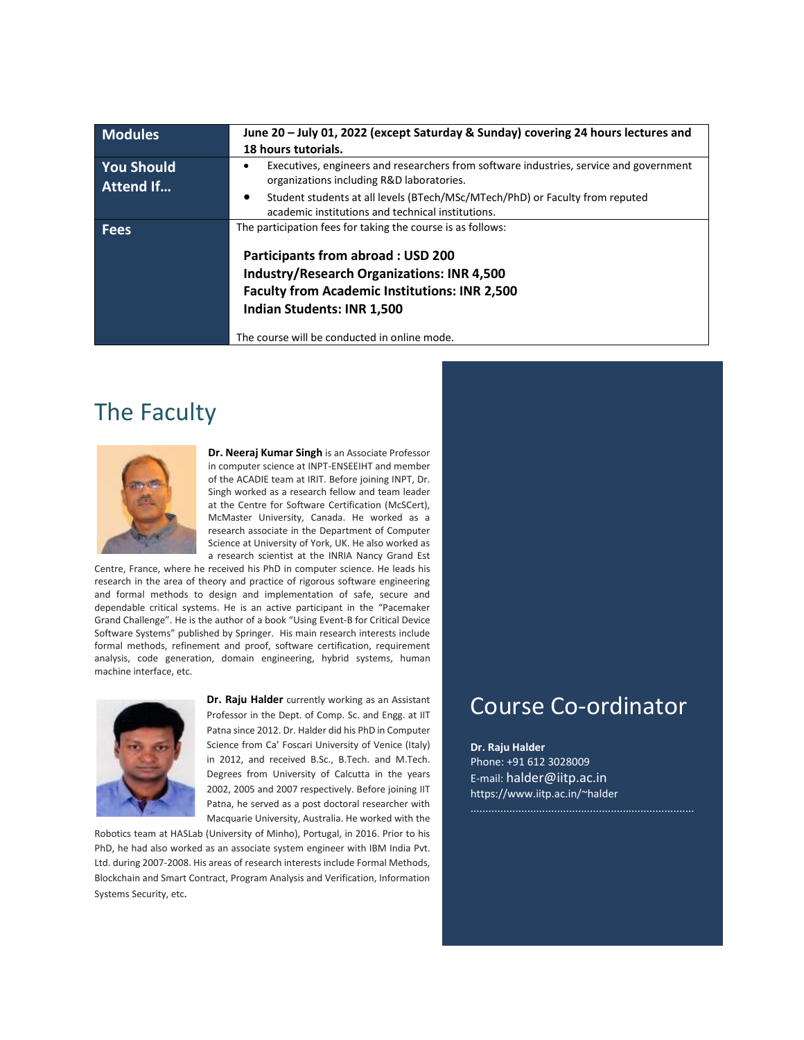| <b>Modules</b>                        | June 20 - July 01, 2022 (except Saturday & Sunday) covering 24 hours lectures and<br>18 hours tutorials.                            |  |
|---------------------------------------|-------------------------------------------------------------------------------------------------------------------------------------|--|
| <b>You Should</b><br><b>Attend If</b> | Executives, engineers and researchers from software industries, service and government<br>organizations including R&D laboratories. |  |
|                                       | Student students at all levels (BTech/MSc/MTech/PhD) or Faculty from reputed<br>academic institutions and technical institutions.   |  |
| Fees                                  | The participation fees for taking the course is as follows:<br><b>Participants from abroad: USD 200</b>                             |  |
|                                       |                                                                                                                                     |  |
|                                       | <b>Industry/Research Organizations: INR 4,500</b>                                                                                   |  |
|                                       | <b>Faculty from Academic Institutions: INR 2,500</b>                                                                                |  |
|                                       | <b>Indian Students: INR 1,500</b>                                                                                                   |  |
|                                       | The course will be conducted in online mode.                                                                                        |  |

### The Faculty



**Dr. Neeraj Kumar Singh** is an Associate Professor in computer science at INPT-ENSEEIHT and member of the ACADIE team at IRIT. Before joining INPT, Dr. Singh worked as a research fellow and team leader at the Centre for Software Certification (McSCert), McMaster University, Canada. He worked as a research associate in the Department of Computer Science at University of York, UK. He also worked as a research scientist at the INRIA Nancy Grand Est

Centre, France, where he received his PhD in computer science. He leads his research in the area of theory and practice of rigorous software engineering and formal methods to design and implementation of safe, secure and dependable critical systems. He is an active participant in the "Pacemaker Grand Challenge". He is the author of a book "Using Event-B for Critical Device Software Systems" published by Springer. His main research interests include formal methods, refinement and proof, software certification, requirement analysis, code generation, domain engineering, hybrid systems, human machine interface, etc.



**Dr. Raju Halder** currently working as an Assistant Professor in the Dept. of Comp. Sc. and Engg. at IIT Patna since 2012. Dr. Halder did his PhD in Computer Science from Ca' Foscari University of Venice (Italy) in 2012, and received B.Sc., B.Tech. and M.Tech. Degrees from University of Calcutta in the years 2002, 2005 and 2007 respectively. Before joining IIT Patna, he served as a post doctoral researcher with Macquarie University, Australia. He worked with the

Robotics team at HASLab (University of Minho), Portugal, in 2016. Prior to his PhD, he had also worked as an associate system engineer with IBM India Pvt. Ltd. during 2007-2008. His areas of research interests include Formal Methods, Blockchain and Smart Contract, Program Analysis and Verification, Information Systems Security, etc.

#### Course Co-ordinator

**Dr. Raju Halder** Phone: +91 612 3028009 E-mail: [halder@iitp.ac.in](mailto:halder@iitp.ac.in) [https://www.iitp.ac.in/~halder](https://www.iitp.ac.in/~halder/)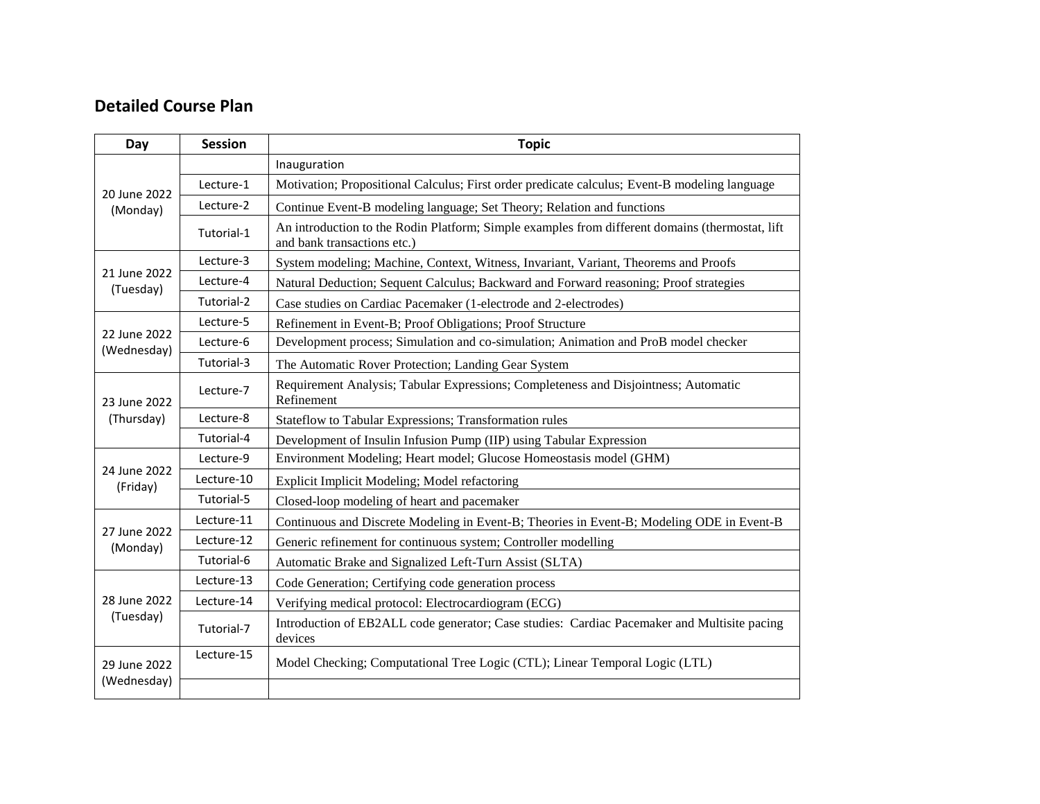#### **Detailed Course Plan**

| Day                         | <b>Session</b> | <b>Topic</b>                                                                                                                   |
|-----------------------------|----------------|--------------------------------------------------------------------------------------------------------------------------------|
| 20 June 2022<br>(Monday)    |                | Inauguration                                                                                                                   |
|                             | Lecture-1      | Motivation; Propositional Calculus; First order predicate calculus; Event-B modeling language                                  |
|                             | Lecture-2      | Continue Event-B modeling language; Set Theory; Relation and functions                                                         |
|                             | Tutorial-1     | An introduction to the Rodin Platform; Simple examples from different domains (thermostat, lift<br>and bank transactions etc.) |
| 21 June 2022<br>(Tuesday)   | Lecture-3      | System modeling; Machine, Context, Witness, Invariant, Variant, Theorems and Proofs                                            |
|                             | Lecture-4      | Natural Deduction; Sequent Calculus; Backward and Forward reasoning; Proof strategies                                          |
|                             | Tutorial-2     | Case studies on Cardiac Pacemaker (1-electrode and 2-electrodes)                                                               |
| 22 June 2022<br>(Wednesday) | Lecture-5      | Refinement in Event-B; Proof Obligations; Proof Structure                                                                      |
|                             | Lecture-6      | Development process; Simulation and co-simulation; Animation and ProB model checker                                            |
|                             | Tutorial-3     | The Automatic Rover Protection; Landing Gear System                                                                            |
| 23 June 2022                | Lecture-7      | Requirement Analysis; Tabular Expressions; Completeness and Disjointness; Automatic<br>Refinement                              |
| (Thursday)                  | Lecture-8      | Stateflow to Tabular Expressions; Transformation rules                                                                         |
|                             | Tutorial-4     | Development of Insulin Infusion Pump (IIP) using Tabular Expression                                                            |
|                             | Lecture-9      | Environment Modeling; Heart model; Glucose Homeostasis model (GHM)                                                             |
| 24 June 2022<br>(Friday)    | Lecture-10     | Explicit Implicit Modeling; Model refactoring                                                                                  |
|                             | Tutorial-5     | Closed-loop modeling of heart and pacemaker                                                                                    |
| 27 June 2022<br>(Monday)    | Lecture-11     | Continuous and Discrete Modeling in Event-B; Theories in Event-B; Modeling ODE in Event-B                                      |
|                             | Lecture-12     | Generic refinement for continuous system; Controller modelling                                                                 |
|                             | Tutorial-6     | Automatic Brake and Signalized Left-Turn Assist (SLTA)                                                                         |
| 28 June 2022<br>(Tuesday)   | Lecture-13     | Code Generation; Certifying code generation process                                                                            |
|                             | Lecture-14     | Verifying medical protocol: Electrocardiogram (ECG)                                                                            |
|                             | Tutorial-7     | Introduction of EB2ALL code generator; Case studies: Cardiac Pacemaker and Multisite pacing<br>devices                         |
| 29 June 2022<br>(Wednesday) | Lecture-15     | Model Checking; Computational Tree Logic (CTL); Linear Temporal Logic (LTL)                                                    |
|                             |                |                                                                                                                                |